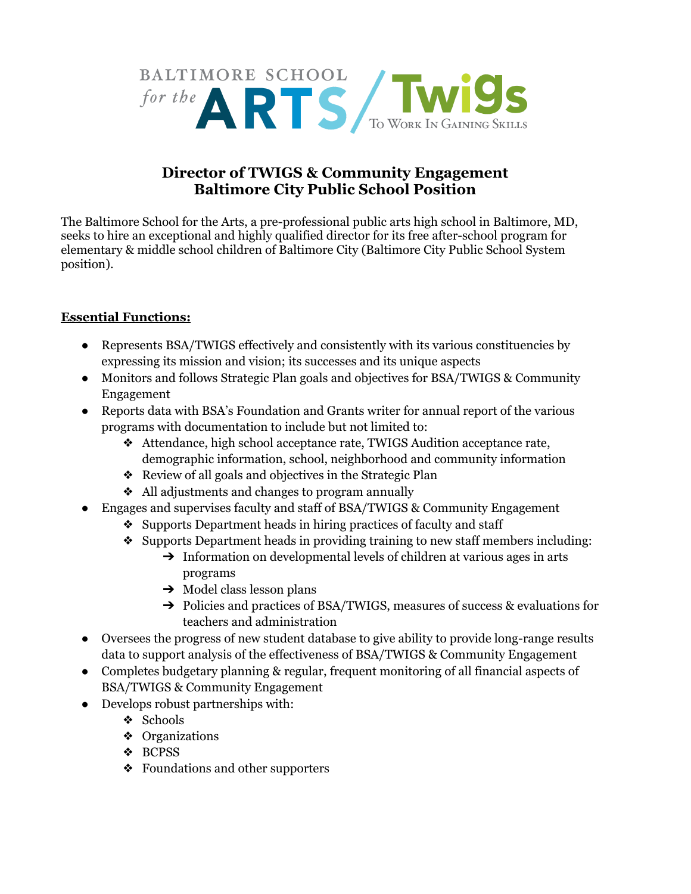

## **Director of TWIGS & Community Engagement Baltimore City Public School Position**

The Baltimore School for the Arts, a pre-professional public arts high school in Baltimore, MD, seeks to hire an exceptional and highly qualified director for its free after-school program for elementary & middle school children of Baltimore City (Baltimore City Public School System position).

## **Essential Functions:**

- Represents BSA/TWIGS effectively and consistently with its various constituencies by expressing its mission and vision; its successes and its unique aspects
- Monitors and follows Strategic Plan goals and objectives for BSA/TWIGS & Community Engagement
- Reports data with BSA's Foundation and Grants writer for annual report of the various programs with documentation to include but not limited to:
	- ❖ Attendance, high school acceptance rate, TWIGS Audition acceptance rate, demographic information, school, neighborhood and community information
	- ❖ Review of all goals and objectives in the Strategic Plan
	- ❖ All adjustments and changes to program annually
- Engages and supervises faculty and staff of BSA/TWIGS & Community Engagement
	- ❖ Supports Department heads in hiring practices of faculty and staff
	- ❖ Supports Department heads in providing training to new staff members including:
		- $\rightarrow$  Information on developmental levels of children at various ages in arts programs
		- $\rightarrow$  Model class lesson plans
		- ➔ Policies and practices of BSA/TWIGS, measures of success & evaluations for teachers and administration
- Oversees the progress of new student database to give ability to provide long-range results data to support analysis of the effectiveness of BSA/TWIGS & Community Engagement
- Completes budgetary planning & regular, frequent monitoring of all financial aspects of BSA/TWIGS & Community Engagement
- Develops robust partnerships with:
	- ❖ Schools
	- ❖ Organizations
	- ❖ BCPSS
	- ❖ Foundations and other supporters